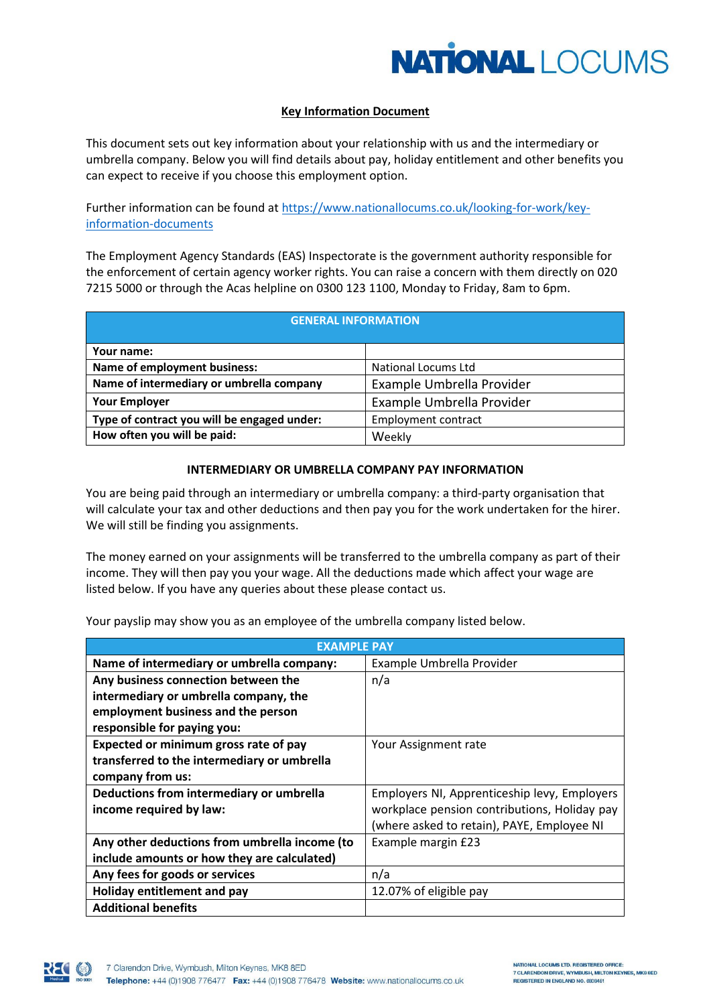

## **Key Information Document**

This document sets out key information about your relationship with us and the intermediary or umbrella company. Below you will find details about pay, holiday entitlement and other benefits you can expect to receive if you choose this employment option.

Further information can be found at [https://www.nationallocums.co.uk/looking-for-work/key](https://www.nationallocums.co.uk/?page_id=15349&preview=true)[information-documents](https://www.nationallocums.co.uk/?page_id=15349&preview=true)

The Employment Agency Standards (EAS) Inspectorate is the government authority responsible for the enforcement of certain agency worker rights. You can raise a concern with them directly on 020 7215 5000 or through the Acas helpline on 0300 123 1100, Monday to Friday, 8am to 6pm.

| <b>GENERAL INFORMATION</b>                  |                            |  |
|---------------------------------------------|----------------------------|--|
| Your name:                                  |                            |  |
| <b>Name of employment business:</b>         | National Locums Ltd        |  |
| Name of intermediary or umbrella company    | Example Umbrella Provider  |  |
| <b>Your Employer</b>                        | Example Umbrella Provider  |  |
| Type of contract you will be engaged under: | <b>Employment contract</b> |  |
| How often you will be paid:                 | Weekly                     |  |

## **INTERMEDIARY OR UMBRELLA COMPANY PAY INFORMATION**

You are being paid through an intermediary or umbrella company: a third-party organisation that will calculate your tax and other deductions and then pay you for the work undertaken for the hirer. We will still be finding you assignments.

The money earned on your assignments will be transferred to the umbrella company as part of their income. They will then pay you your wage. All the deductions made which affect your wage are listed below. If you have any queries about these please contact us.

Your payslip may show you as an employee of the umbrella company listed below.

| <b>EXAMPLE PAY</b>                            |                                              |  |
|-----------------------------------------------|----------------------------------------------|--|
| Name of intermediary or umbrella company:     | Example Umbrella Provider                    |  |
| Any business connection between the           | n/a                                          |  |
| intermediary or umbrella company, the         |                                              |  |
| employment business and the person            |                                              |  |
| responsible for paying you:                   |                                              |  |
| Expected or minimum gross rate of pay         | Your Assignment rate                         |  |
| transferred to the intermediary or umbrella   |                                              |  |
| company from us:                              |                                              |  |
| Deductions from intermediary or umbrella      | Employers NI, Apprenticeship levy, Employers |  |
| income required by law:                       | workplace pension contributions, Holiday pay |  |
|                                               | (where asked to retain), PAYE, Employee NI   |  |
| Any other deductions from umbrella income (to | Example margin £23                           |  |
| include amounts or how they are calculated)   |                                              |  |
| Any fees for goods or services                | n/a                                          |  |
| Holiday entitlement and pay                   | 12.07% of eligible pay                       |  |
| <b>Additional benefits</b>                    |                                              |  |